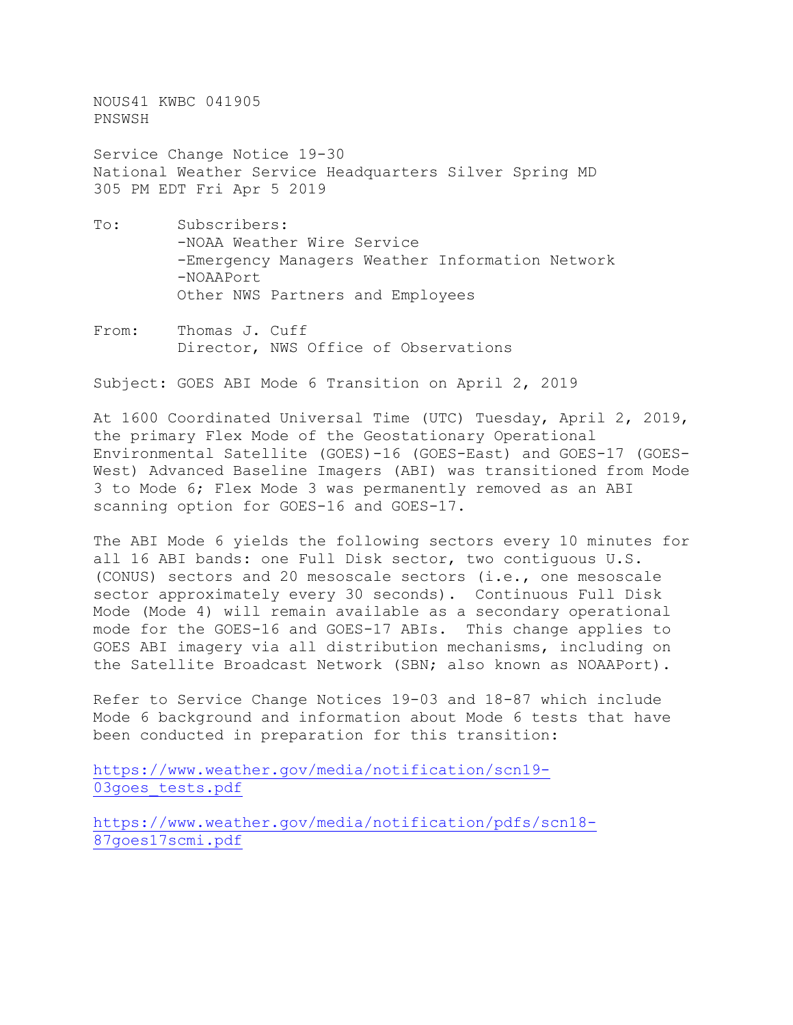NOUS41 KWBC 041905 PNSWSH

Service Change Notice 19-30 National Weather Service Headquarters Silver Spring MD 305 PM EDT Fri Apr 5 2019

- To: Subscribers: -NOAA Weather Wire Service -Emergency Managers Weather Information Network -NOAAPort Other NWS Partners and Employees
- From: Thomas J. Cuff Director, NWS Office of Observations

Subject: GOES ABI Mode 6 Transition on April 2, 2019

At 1600 Coordinated Universal Time (UTC) Tuesday, April 2, 2019, the primary Flex Mode of the Geostationary Operational Environmental Satellite (GOES)-16 (GOES-East) and GOES-17 (GOES-West) Advanced Baseline Imagers (ABI) was transitioned from Mode 3 to Mode 6; Flex Mode 3 was permanently removed as an ABI scanning option for GOES-16 and GOES-17.

The ABI Mode 6 yields the following sectors every 10 minutes for all 16 ABI bands: one Full Disk sector, two contiguous U.S. (CONUS) sectors and 20 mesoscale sectors (i.e., one mesoscale sector approximately every 30 seconds). Continuous Full Disk Mode (Mode 4) will remain available as a secondary operational mode for the GOES-16 and GOES-17 ABIs. This change applies to GOES ABI imagery via all distribution mechanisms, including on the Satellite Broadcast Network (SBN; also known as NOAAPort).

Refer to Service Change Notices 19-03 and 18-87 which include Mode 6 background and information about Mode 6 tests that have been conducted in preparation for this transition:

[https://www.weather.gov/media/notification/scn19-](https://www.weather.gov/media/notification/scn19-03goes_tests.pdf) 03goes tests.pdf

[https://www.weather.gov/media/notification/pdfs/scn18-](https://www.weather.gov/media/notification/pdfs/scn18-87goes17scmi.pdf) [87goes17scmi.pdf](https://www.weather.gov/media/notification/pdfs/scn18-87goes17scmi.pdf)